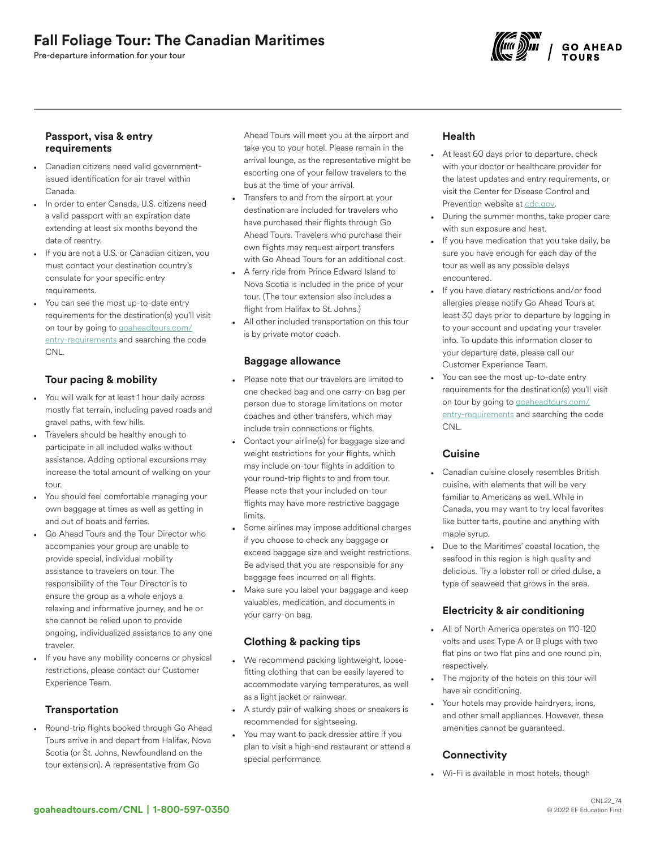# Fall Foliage Tour: The Canadian Maritimes

Pre-departure information for your tour



### Passport, visa & entry requirements

- Canadian citizens need valid governmentissued identification for air travel within Canada.
- In order to enter Canada, U.S. citizens need a valid passport with an expiration date extending at least six months beyond the date of reentry.
- If you are not a U.S. or Canadian citizen, you must contact your destination country's consulate for your specific entry requirements.
- You can see the most up-to-date entry requirements for the destination(s) you'll visit on tour by going to [goaheadtours.com/](/entry-requirements?tourCode=CNL) [entry-requirements](/entry-requirements?tourCode=CNL) and searching the code CNL.

# Tour pacing & mobility

- You will walk for at least 1 hour daily across mostly flat terrain, including paved roads and gravel paths, with few hills.
- Travelers should be healthy enough to participate in all included walks without assistance. Adding optional excursions may increase the total amount of walking on your tour.
- You should feel comfortable managing your own baggage at times as well as getting in and out of boats and ferries.
- Go Ahead Tours and the Tour Director who accompanies your group are unable to provide special, individual mobility assistance to travelers on tour. The responsibility of the Tour Director is to ensure the group as a whole enjoys a relaxing and informative journey, and he or she cannot be relied upon to provide ongoing, individualized assistance to any one traveler.
- If you have any mobility concerns or physical restrictions, please contact our Customer Experience Team.

# **Transportation**

• Round-trip flights booked through Go Ahead Tours arrive in and depart from Halifax, Nova Scotia (or St. Johns, Newfoundland on the tour extension). A representative from Go

Ahead Tours will meet you at the airport and take you to your hotel. Please remain in the arrival lounge, as the representative might be escorting one of your fellow travelers to the bus at the time of your arrival.

- Transfers to and from the airport at your destination are included for travelers who have purchased their flights through Go Ahead Tours. Travelers who purchase their own flights may request airport transfers with Go Ahead Tours for an additional cost.
- A ferry ride from Prince Edward Island to Nova Scotia is included in the price of your tour. (The tour extension also includes a flight from Halifax to St. Johns.)
- All other included transportation on this tour is by private motor coach.

#### Baggage allowance

- Please note that our travelers are limited to one checked bag and one carry-on bag per person due to storage limitations on motor coaches and other transfers, which may include train connections or flights.
- Contact your airline(s) for baggage size and weight restrictions for your flights, which may include on-tour flights in addition to your round-trip flights to and from tour. Please note that your included on-tour flights may have more restrictive baggage limits.
- Some airlines may impose additional charges if you choose to check any baggage or exceed baggage size and weight restrictions. Be advised that you are responsible for any baggage fees incurred on all flights.
- Make sure you label your baggage and keep valuables, medication, and documents in your carry-on bag.

# Clothing & packing tips

- We recommend packing lightweight, loosefitting clothing that can be easily layered to accommodate varying temperatures, as well as a light jacket or rainwear.
- A sturdy pair of walking shoes or sneakers is recommended for sightseeing.
- You may want to pack dressier attire if you plan to visit a high-end restaurant or attend a special performance.

# Health

- At least 60 days prior to departure, check with your doctor or healthcare provider for the latest updates and entry requirements, or visit the Center for Disease Control and Prevention website at [cdc.gov.](https://www.cdc.gov/)
- During the summer months, take proper care with sun exposure and heat.
- If you have medication that you take daily, be sure you have enough for each day of the tour as well as any possible delays encountered.
- If you have dietary restrictions and/or food allergies please notify Go Ahead Tours at least 30 days prior to departure by logging in to your account and updating your traveler info. To update this information closer to your departure date, please call our Customer Experience Team.
- You can see the most up-to-date entry requirements for the destination(s) you'll visit on tour by going to [goaheadtours.com/](/entry-requirements?tourCode=CNL) [entry-requirements](/entry-requirements?tourCode=CNL) and searching the code CNL.

# Cuisine

- Canadian cuisine closely resembles British cuisine, with elements that will be very familiar to Americans as well. While in Canada, you may want to try local favorites like butter tarts, poutine and anything with maple syrup.
- Due to the Maritimes' coastal location, the seafood in this region is high quality and delicious. Try a lobster roll or dried dulse, a type of seaweed that grows in the area.

# Electricity & air conditioning

- All of North America operates on 110-120 volts and uses Type A or B plugs with two flat pins or two flat pins and one round pin, respectively.
- The majority of the hotels on this tour will have air conditioning.
- Your hotels may provide hairdryers, irons, and other small appliances. However, these amenities cannot be guaranteed.

# **Connectivity**

• Wi-Fi is available in most hotels, though